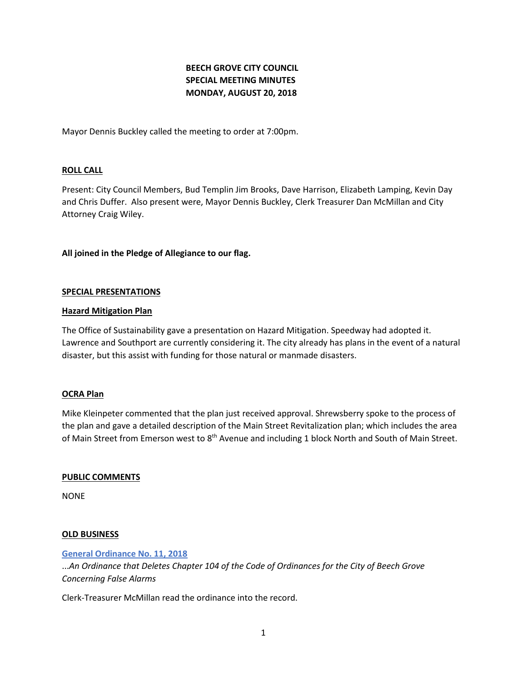# **BEECH GROVE CITY COUNCIL SPECIAL MEETING MINUTES MONDAY, AUGUST 20, 2018**

Mayor Dennis Buckley called the meeting to order at 7:00pm.

# **ROLL CALL**

Present: City Council Members, Bud Templin Jim Brooks, Dave Harrison, Elizabeth Lamping, Kevin Day and Chris Duffer. Also present were, Mayor Dennis Buckley, Clerk Treasurer Dan McMillan and City Attorney Craig Wiley.

# **All joined in the Pledge of Allegiance to our flag.**

## **SPECIAL PRESENTATIONS**

## **Hazard Mitigation Plan**

The Office of Sustainability gave a presentation on Hazard Mitigation. Speedway had adopted it. Lawrence and Southport are currently considering it. The city already has plans in the event of a natural disaster, but this assist with funding for those natural or manmade disasters.

## **OCRA Plan**

Mike Kleinpeter commented that the plan just received approval. Shrewsberry spoke to the process of the plan and gave a detailed description of the Main Street Revitalization plan; which includes the area of Main Street from Emerson west to 8<sup>th</sup> Avenue and including 1 block North and South of Main Street.

## **PUBLIC COMMENTS**

NONE

## **OLD BUSINESS**

## **[General Ordinance No. 11, 2018](http://www.beechgrove.com/uploads/1/0/1/2/10129925/general_ordinance_no.112018.pdf)**

...*An Ordinance that Deletes Chapter 104 of the Code of Ordinances for the City of Beech Grove Concerning False Alarms*

Clerk-Treasurer McMillan read the ordinance into the record.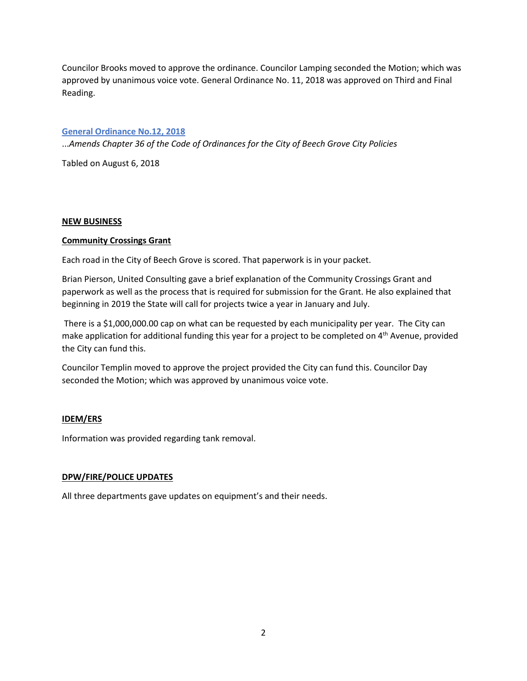Councilor Brooks moved to approve the ordinance. Councilor Lamping seconded the Motion; which was approved by unanimous voice vote. General Ordinance No. 11, 2018 was approved on Third and Final Reading.

## **[General Ordinance No.12, 2018](http://www.beechgrove.com/uploads/1/0/1/2/10129925/general_ordinance_12_2018.pdf)**

...*Amends Chapter 36 of the Code of Ordinances for the City of Beech Grove City Policies*

Tabled on August 6, 2018

## **NEW BUSINESS**

# **Community Crossings Grant**

Each road in the City of Beech Grove is scored. That paperwork is in your packet.

Brian Pierson, United Consulting gave a brief explanation of the Community Crossings Grant and paperwork as well as the process that is required for submission for the Grant. He also explained that beginning in 2019 the State will call for projects twice a year in January and July.

There is a \$1,000,000.00 cap on what can be requested by each municipality per year. The City can make application for additional funding this year for a project to be completed on 4th Avenue, provided the City can fund this.

Councilor Templin moved to approve the project provided the City can fund this. Councilor Day seconded the Motion; which was approved by unanimous voice vote.

# **IDEM/ERS**

Information was provided regarding tank removal.

## **DPW/FIRE/POLICE UPDATES**

All three departments gave updates on equipment's and their needs.